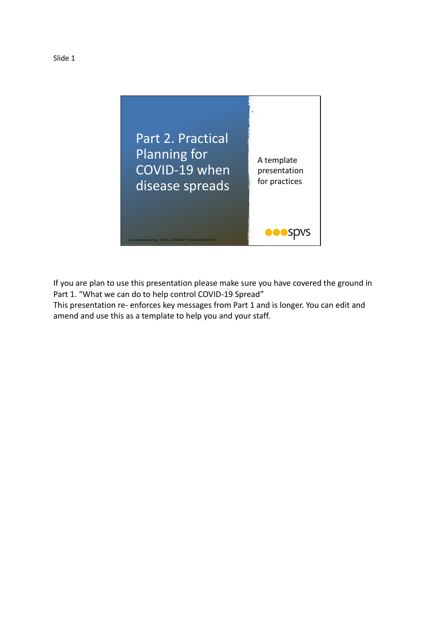



If you are plan to use this presentation please make sure you have covered the ground in Part 1. "What we can do to help control COVID-19 Spread"

This presentation re- enforces key messages from Part 1 and is longer. You can edit and amend and use this as a template to help you and your staff.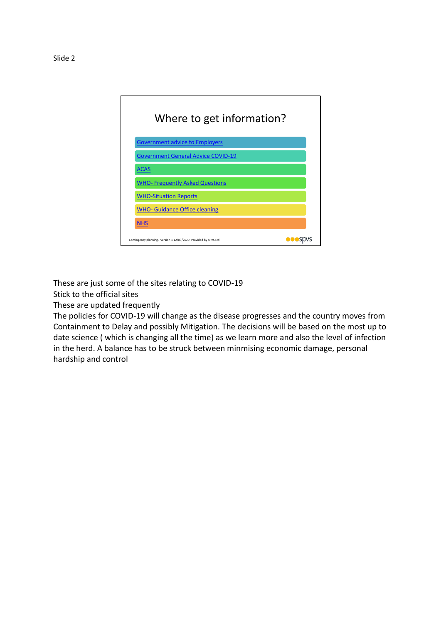

These are just some of the sites relating to COVID-19

Stick to the official sites

These are updated frequently

The policies for COVID-19 will change as the disease progresses and the country moves from Containment to Delay and possibly Mitigation. The decisions will be based on the most up to date science ( which is changing all the time) as we learn more and also the level of infection in the herd. A balance has to be struck between minmising economic damage, personal hardship and control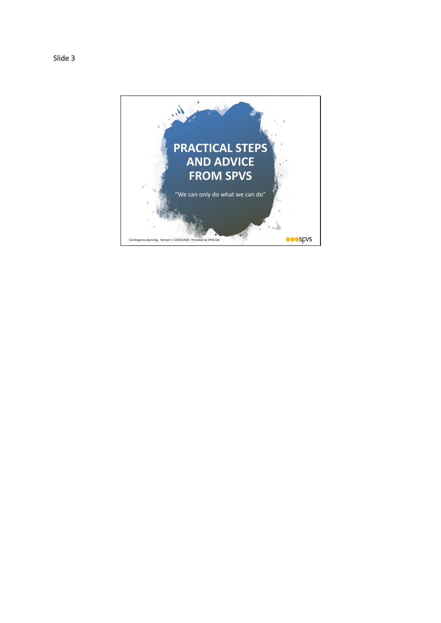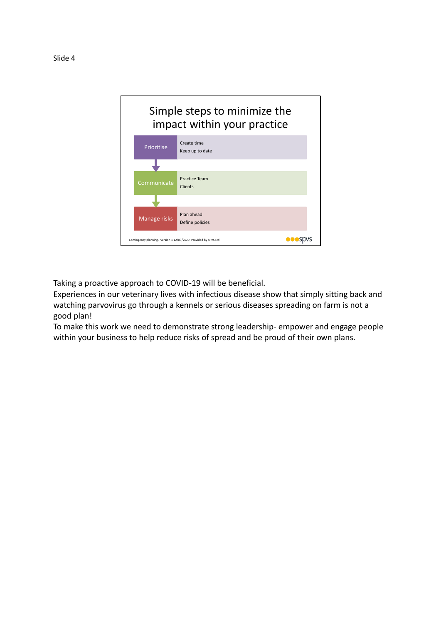

Taking a proactive approach to COVID-19 will be beneficial.

Experiences in our veterinary lives with infectious disease show that simply sitting back and watching parvovirus go through a kennels or serious diseases spreading on farm is not a good plan!

To make this work we need to demonstrate strong leadership- empower and engage people within your business to help reduce risks of spread and be proud of their own plans.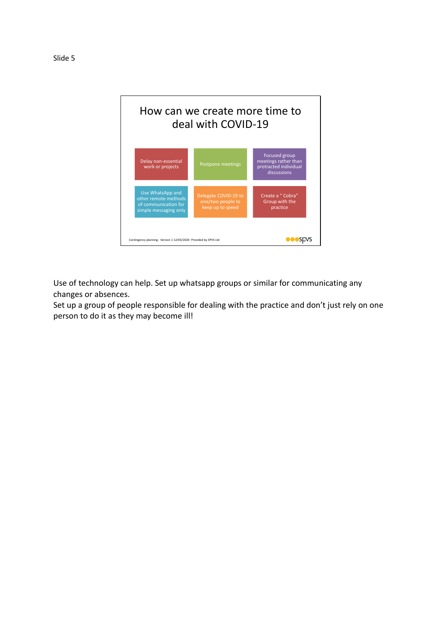

Use of technology can help. Set up whatsapp groups or similar for communicating any changes or absences.

Set up a group of people responsible for dealing with the practice and don't just rely on one person to do it as they may become ill!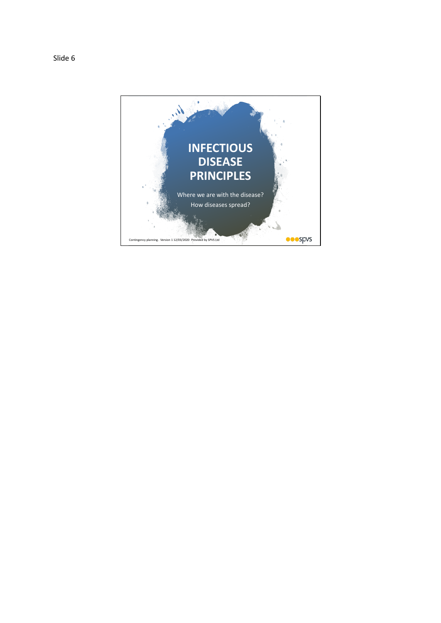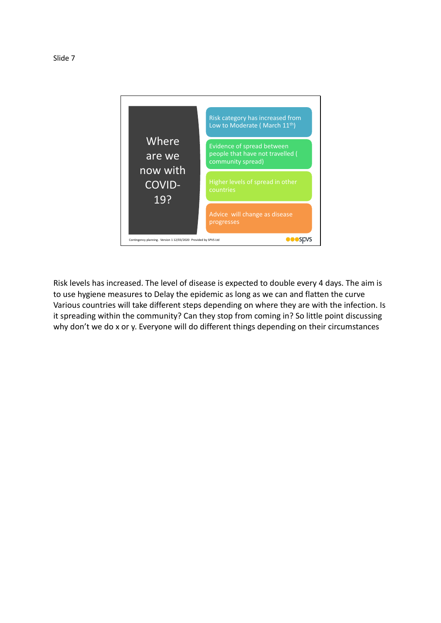

Risk levels has increased. The level of disease is expected to double every 4 days. The aim is to use hygiene measures to Delay the epidemic as long as we can and flatten the curve Various countries will take different steps depending on where they are with the infection. Is it spreading within the community? Can they stop from coming in? So little point discussing why don't we do x or y. Everyone will do different things depending on their circumstances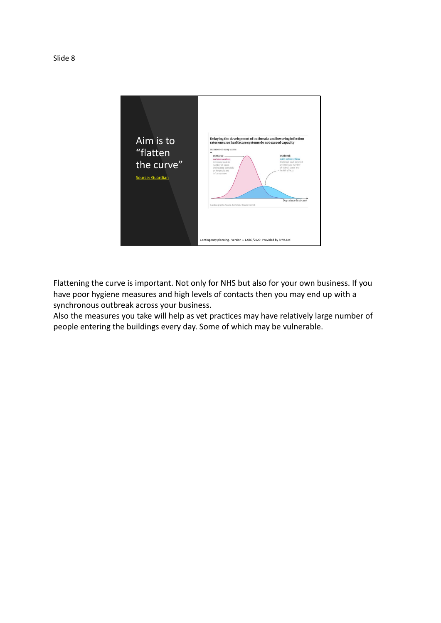

Flattening the curve is important. Not only for NHS but also for your own business. If you have poor hygiene measures and high levels of contacts then you may end up with a synchronous outbreak across your business.

Also the measures you take will help as vet practices may have relatively large number of people entering the buildings every day. Some of which may be vulnerable.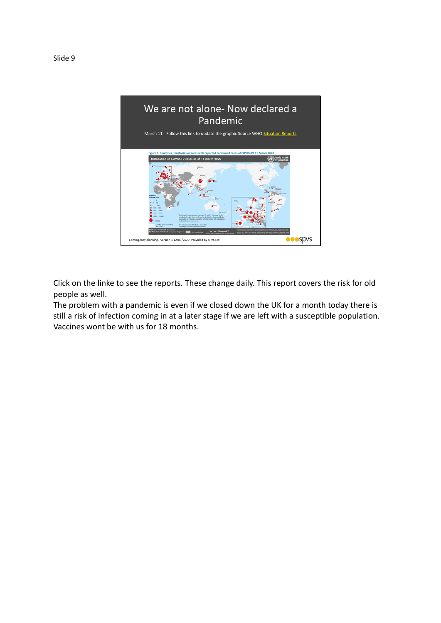

Click on the linke to see the reports. These change daily. This report covers the risk for old people as well.

The problem with a pandemic is even if we closed down the UK for a month today there is still a risk of infection coming in at a later stage if we are left with a susceptible population. Vaccines wont be with us for 18 months.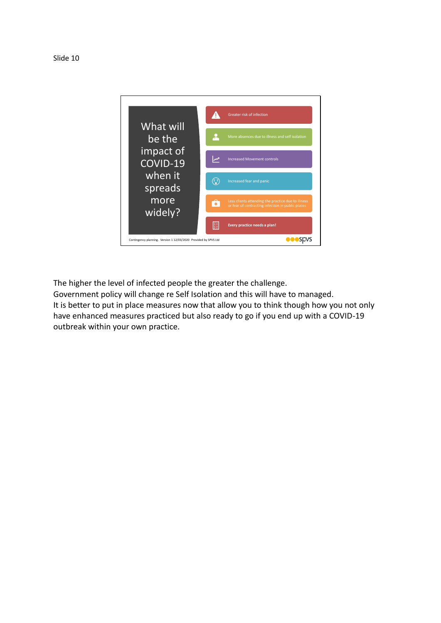



The higher the level of infected people the greater the challenge.

Government policy will change re Self Isolation and this will have to managed. It is better to put in place measures now that allow you to think though how you not only have enhanced measures practiced but also ready to go if you end up with a COVID-19 outbreak within your own practice.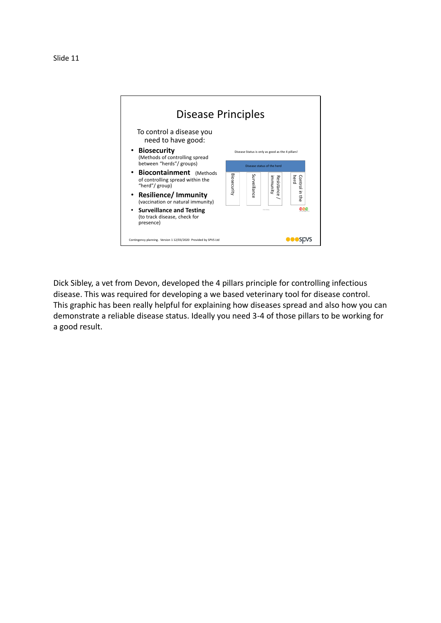

Dick Sibley, a vet from Devon, developed the 4 pillars principle for controlling infectious disease. This was required for developing a we based veterinary tool for disease control. This graphic has been really helpful for explaining how diseases spread and also how you can demonstrate a reliable disease status. Ideally you need 3-4 of those pillars to be working for a good result.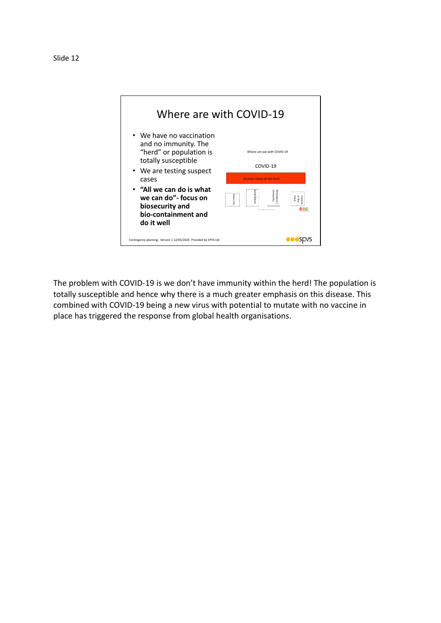



The problem with COVID-19 is we don't have immunity within the herd! The population is totally susceptible and hence why there is a much greater emphasis on this disease. This combined with COVID-19 being a new virus with potential to mutate with no vaccine in place has triggered the response from global health organisations.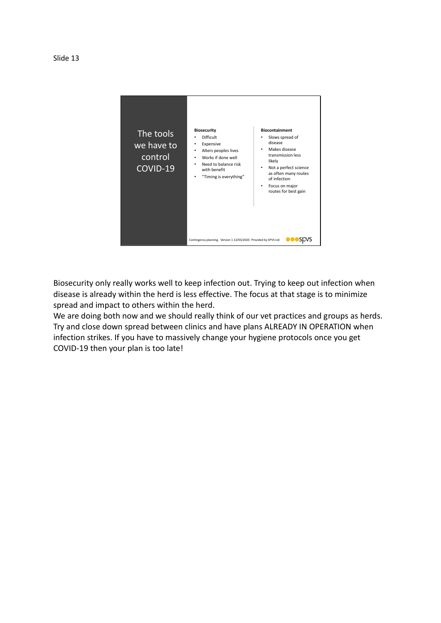



Biosecurity only really works well to keep infection out. Trying to keep out infection when disease is already within the herd is less effective. The focus at that stage is to minimize spread and impact to others within the herd.

We are doing both now and we should really think of our vet practices and groups as herds. Try and close down spread between clinics and have plans ALREADY IN OPERATION when infection strikes. If you have to massively change your hygiene protocols once you get COVID-19 then your plan is too late!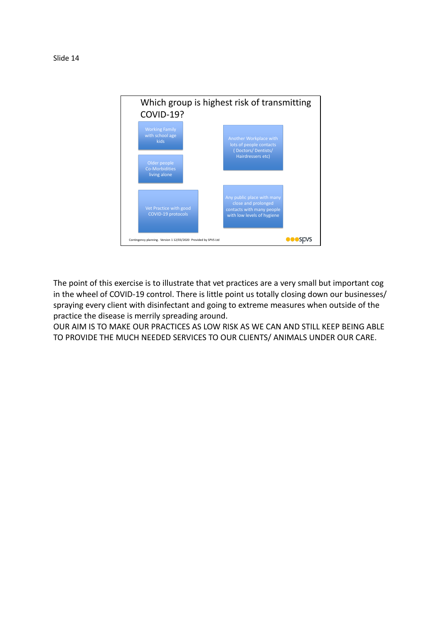

The point of this exercise is to illustrate that vet practices are a very small but important cog in the wheel of COVID-19 control. There is little point us totally closing down our businesses/ spraying every client with disinfectant and going to extreme measures when outside of the practice the disease is merrily spreading around.

OUR AIM IS TO MAKE OUR PRACTICES AS LOW RISK AS WE CAN AND STILL KEEP BEING ABLE TO PROVIDE THE MUCH NEEDED SERVICES TO OUR CLIENTS/ ANIMALS UNDER OUR CARE.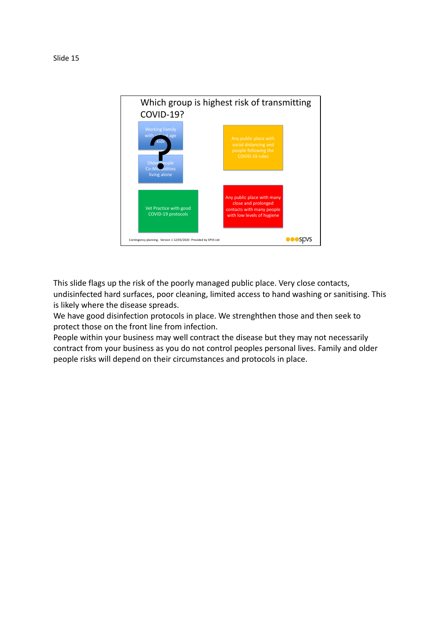

This slide flags up the risk of the poorly managed public place. Very close contacts, undisinfected hard surfaces, poor cleaning, limited access to hand washing or sanitising. This is likely where the disease spreads.

We have good disinfection protocols in place. We strenghthen those and then seek to protect those on the front line from infection.

People within your business may well contract the disease but they may not necessarily contract from your business as you do not control peoples personal lives. Family and older people risks will depend on their circumstances and protocols in place.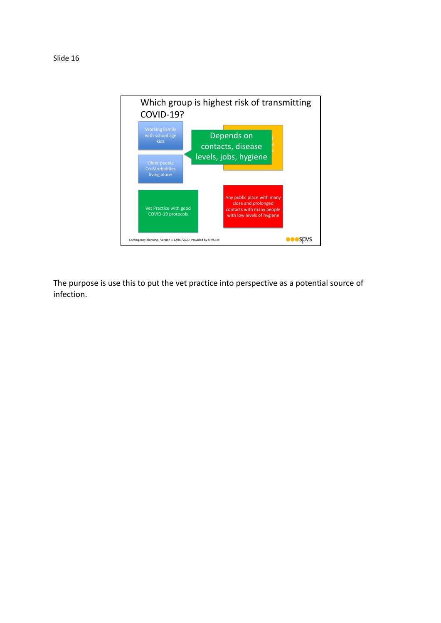

The purpose is use this to put the vet practice into perspective as a potential source of infection.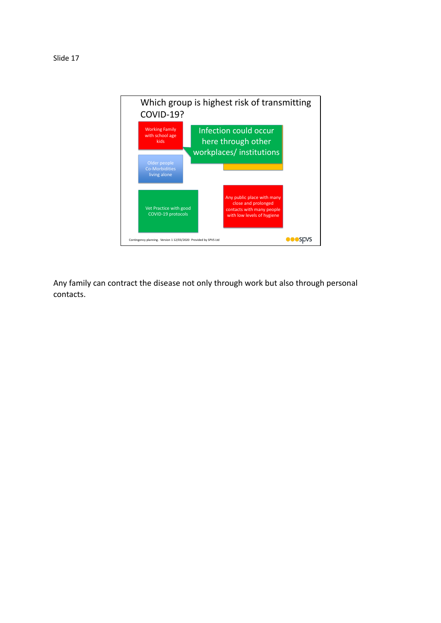

Any family can contract the disease not only through work but also through personal contacts.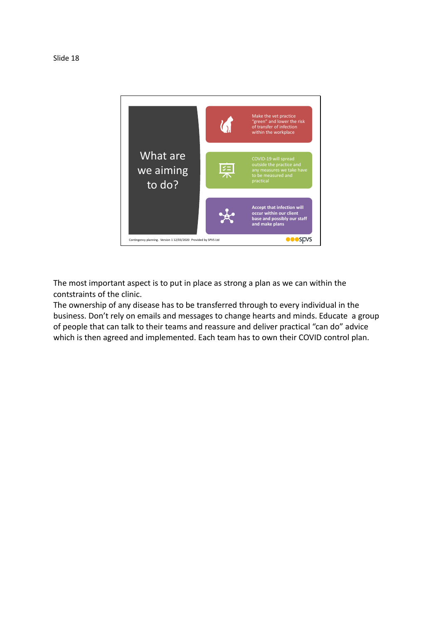

The most important aspect is to put in place as strong a plan as we can within the contstraints of the clinic.

The ownership of any disease has to be transferred through to every individual in the business. Don't rely on emails and messages to change hearts and minds. Educate a group of people that can talk to their teams and reassure and deliver practical "can do" advice which is then agreed and implemented. Each team has to own their COVID control plan.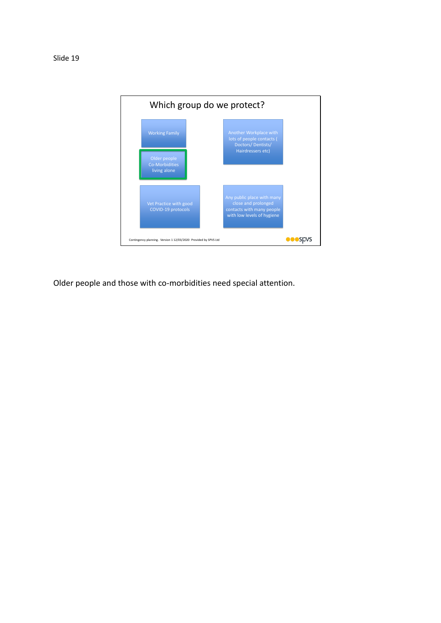



Contingency planning. Version 1 12/03/2020 Provided by SPVS Ltd

Vet Practice with good COVID-19 protocols

close and prolonged contacts with many people with low levels of hygiene

 $\bullet \bullet \bullet$ spvs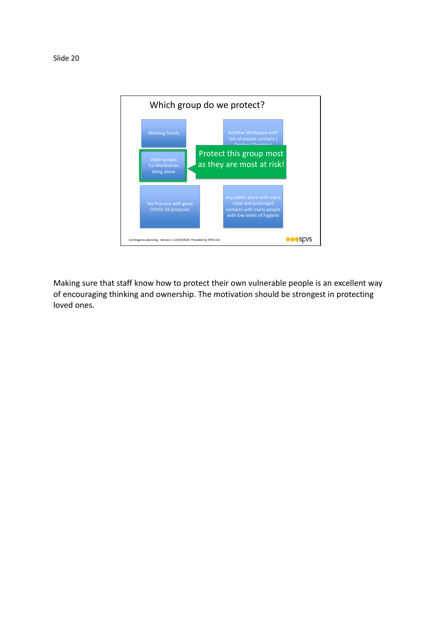

Making sure that staff know how to protect their own vulnerable people is an excellent way of encouraging thinking and ownership. The motivation should be strongest in protecting loved ones.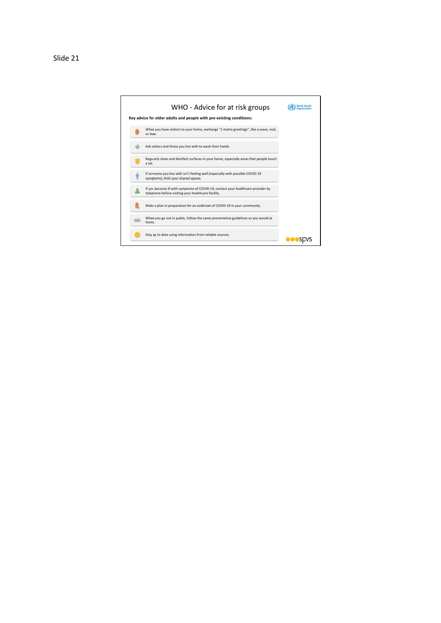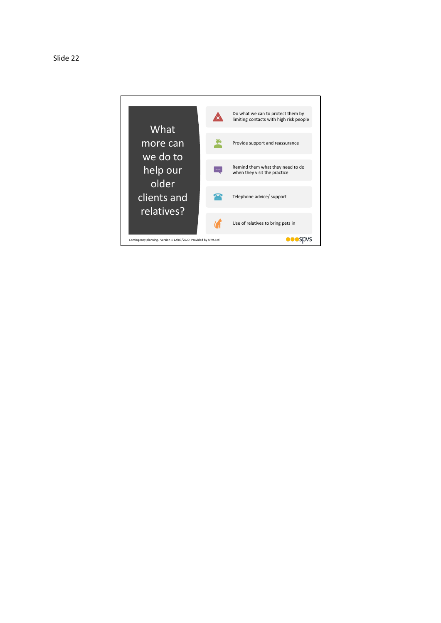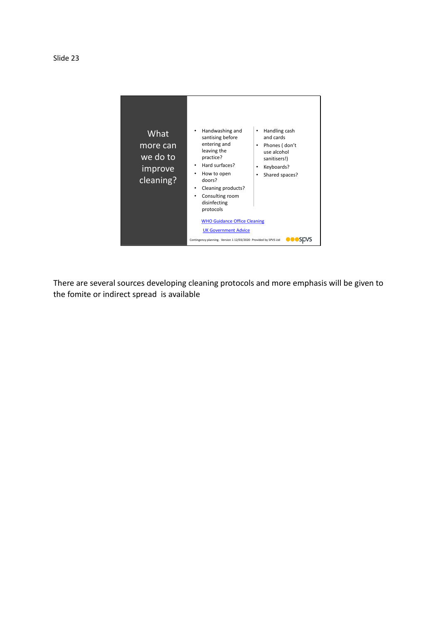

There are several sources developing cleaning protocols and more emphasis will be given to the fomite or indirect spread is available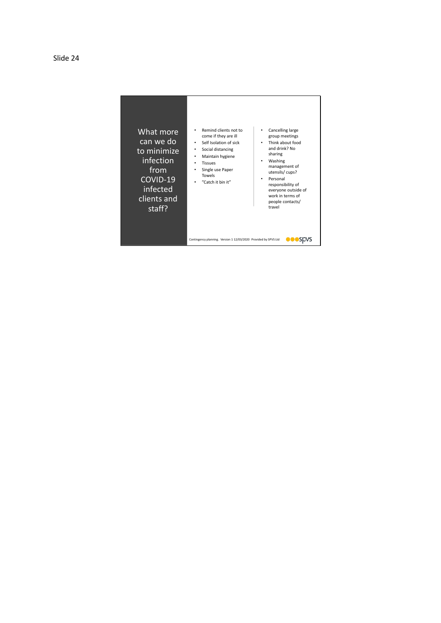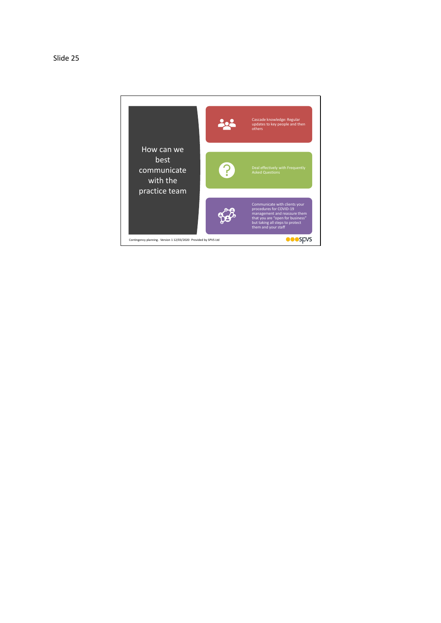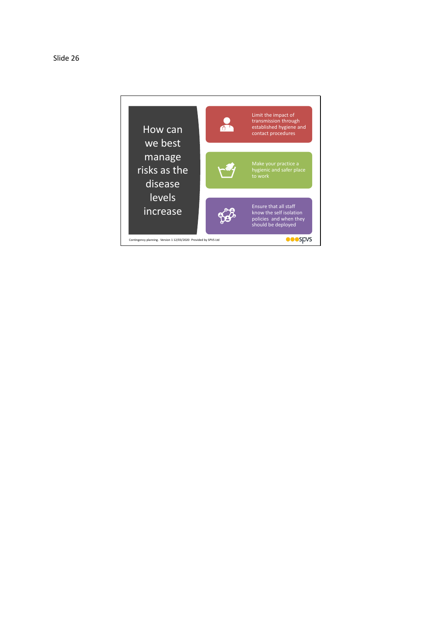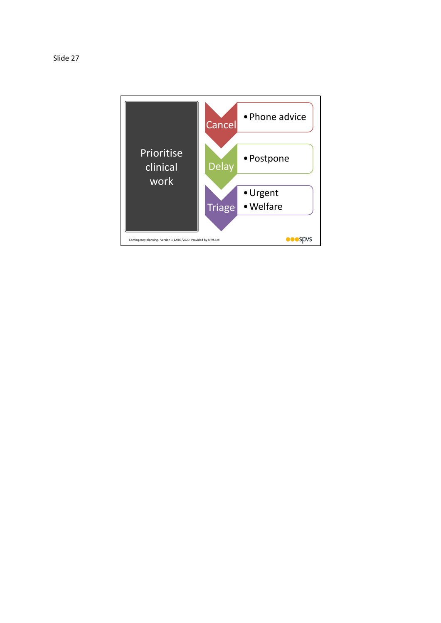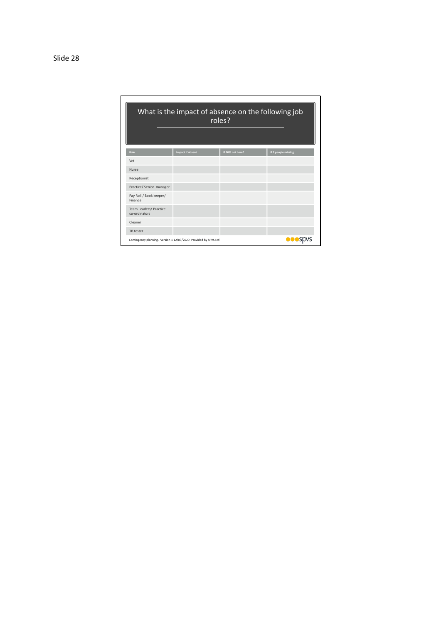| What is the impact of absence on the following job<br>roles?    |                         |                  |                     |
|-----------------------------------------------------------------|-------------------------|------------------|---------------------|
| Role                                                            | <b>Impact if absent</b> | If 20% not here? | If 2 people missing |
| Vet                                                             |                         |                  |                     |
| Nurse                                                           |                         |                  |                     |
| Receptionist                                                    |                         |                  |                     |
| Practice/ Senior manager                                        |                         |                  |                     |
| Pay Roll / Book keeper/<br>Finance                              |                         |                  |                     |
| Team Leaders/ Practice<br>co-ordinators                         |                         |                  |                     |
| Cleaner                                                         |                         |                  |                     |
| TB tester                                                       |                         |                  |                     |
| Contingency planning. Version 1 12/03/2020 Provided by SPVS Ltd |                         |                  | <b>OOO</b> SDVS     |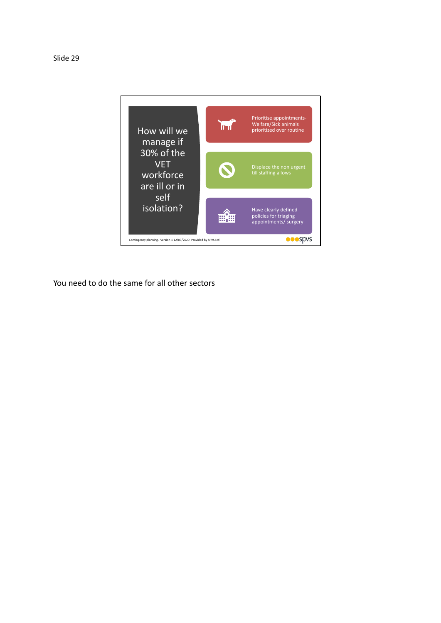



You need to do the same for all other sectors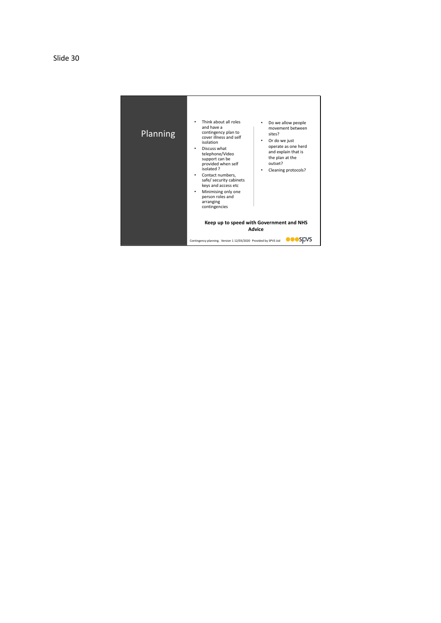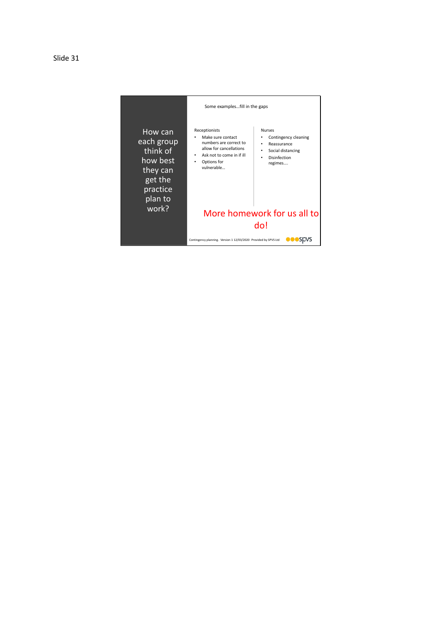